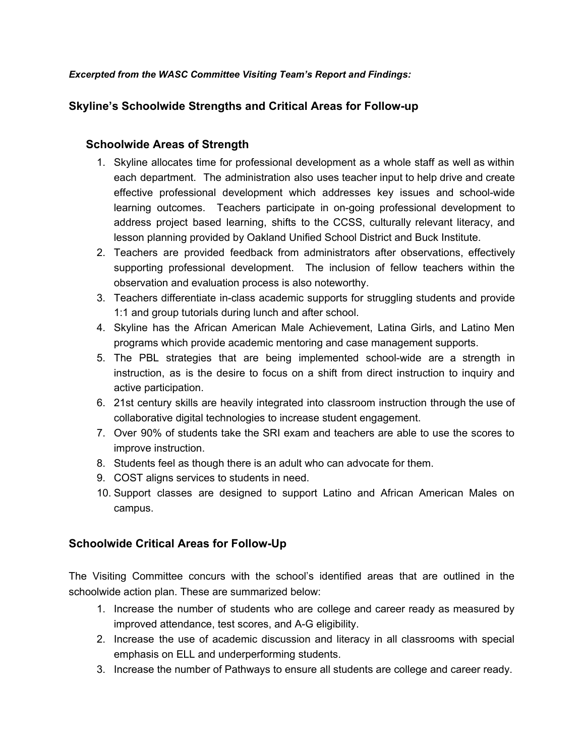#### *Excerpted from the WASC Committee Visiting Team's Report and Findings:*

## **Skyline's Schoolwide Strengths and Critical Areas for Follow-up**

## **Schoolwide Areas of Strength**

- 1. Skyline allocates time for professional development as a whole staff as well as within each department. The administration also uses teacher input to help drive and create effective professional development which addresses key issues and school-wide learning outcomes. Teachers participate in on-going professional development to address project based learning, shifts to the CCSS, culturally relevant literacy, and lesson planning provided by Oakland Unified School District and Buck Institute.
- 2. Teachers are provided feedback from administrators after observations, effectively supporting professional development. The inclusion of fellow teachers within the observation and evaluation process is also noteworthy.
- 3. Teachers differentiate in-class academic supports for struggling students and provide 1:1 and group tutorials during lunch and after school.
- 4. Skyline has the African American Male Achievement, Latina Girls, and Latino Men programs which provide academic mentoring and case management supports.
- 5. The PBL strategies that are being implemented school-wide are a strength in instruction, as is the desire to focus on a shift from direct instruction to inquiry and active participation.
- 6. 21st century skills are heavily integrated into classroom instruction through the use of collaborative digital technologies to increase student engagement.
- 7. Over 90% of students take the SRI exam and teachers are able to use the scores to improve instruction.
- 8. Students feel as though there is an adult who can advocate for them.
- 9. COST aligns services to students in need.
- 10. Support classes are designed to support Latino and African American Males on campus.

# **Schoolwide Critical Areas for Follow-Up**

The Visiting Committee concurs with the school's identified areas that are outlined in the schoolwide action plan. These are summarized below:

- 1. Increase the number of students who are college and career ready as measured by improved attendance, test scores, and A-G eligibility.
- 2. Increase the use of academic discussion and literacy in all classrooms with special emphasis on ELL and underperforming students.
- 3. Increase the number of Pathways to ensure all students are college and career ready.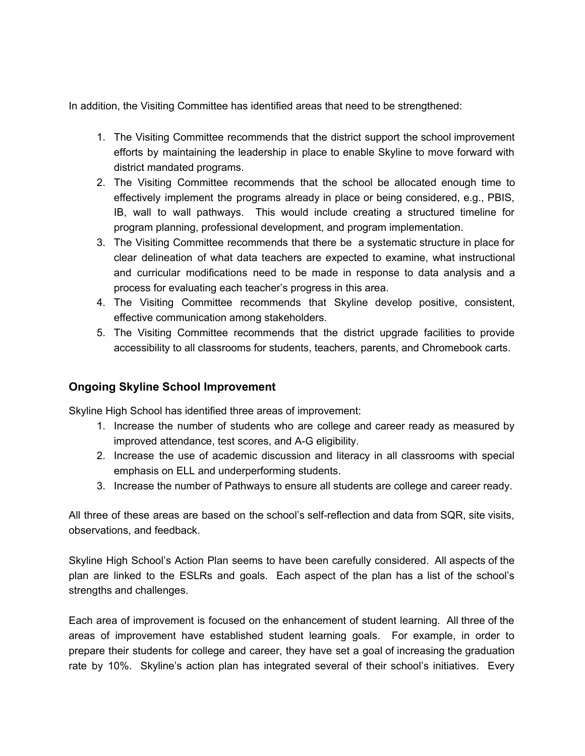In addition, the Visiting Committee has identified areas that need to be strengthened:

- 1. The Visiting Committee recommends that the district support the school improvement efforts by maintaining the leadership in place to enable Skyline to move forward with district mandated programs.
- 2. The Visiting Committee recommends that the school be allocated enough time to effectively implement the programs already in place or being considered, e.g., PBIS, IB, wall to wall pathways. This would include creating a structured timeline for program planning, professional development, and program implementation.
- 3. The Visiting Committee recommends that there be a systematic structure in place for clear delineation of what data teachers are expected to examine, what instructional and curricular modifications need to be made in response to data analysis and a process for evaluating each teacher's progress in this area.
- 4. The Visiting Committee recommends that Skyline develop positive, consistent, effective communication among stakeholders.
- 5. The Visiting Committee recommends that the district upgrade facilities to provide accessibility to all classrooms for students, teachers, parents, and Chromebook carts.

#### **Ongoing Skyline School Improvement**

Skyline High School has identified three areas of improvement:

- 1. Increase the number of students who are college and career ready as measured by improved attendance, test scores, and A-G eligibility.
- 2. Increase the use of academic discussion and literacy in all classrooms with special emphasis on ELL and underperforming students.
- 3. Increase the number of Pathways to ensure all students are college and career ready.

All three of these areas are based on the school's selfreflection and data from SQR, site visits, observations, and feedback.

Skyline High School's Action Plan seems to have been carefully considered. All aspects of the plan are linked to the ESLRs and goals. Each aspect of the plan has a list of the school's strengths and challenges.

Each area of improvement is focused on the enhancement of student learning. All three of the areas of improvement have established student learning goals. For example, in order to prepare their students for college and career, they have set a goal of increasing the graduation rate by 10%. Skyline's action plan has integrated several of their school's initiatives. Every